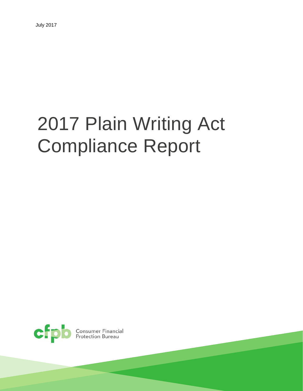# 2017 Plain Writing Act Compliance Report



Consumer Financial<br>Protection Bureau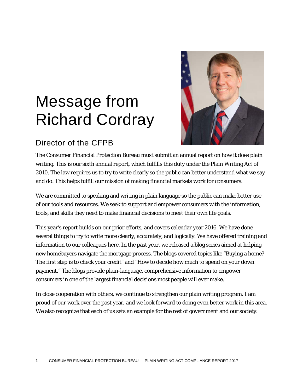## Message from Richard Cordray



#### Director of the CFPB

The Consumer Financial Protection Bureau must submit an annual report on how it does plain writing. This is our sixth annual report, which fulfills this duty under the Plain Writing Act of 2010. The law requires us to try to write clearly so the public can better understand what we say and do. This helps fulfill our mission of making financial markets work for consumers.

We are committed to speaking and writing in plain language so the public can make better use of our tools and resources. We seek to support and empower consumers with the information, tools, and skills they need to make financial decisions to meet their own life goals.

This year's report builds on our prior efforts, and covers calendar year 2016. We have done several things to try to write more clearly, accurately, and logically. We have offered training and information to our colleagues here. In the past year, we released a blog series aimed at helping new homebuyers navigate the mortgage process. The blogs covered topics like "Buying a home? The first step is to check your credit" and "How to decide how much to spend on your down payment." The blogs provide plain-language, comprehensive information to empower consumers in one of the largest financial decisions most people will ever make.

In close cooperation with others, we continue to strengthen our plain writing program. I am proud of our work over the past year, and we look forward to doing even better work in this area. We also recognize that each of us sets an example for the rest of government and our society.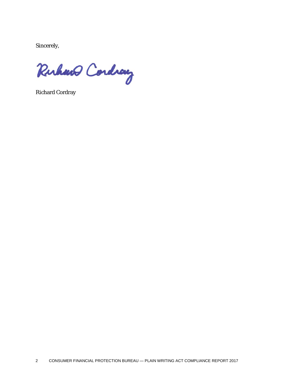Sincerely,

Ruhard Cordray

Richard Cordray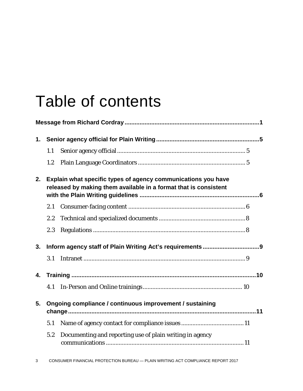### Table of contents

|    | 1.1                                                                                                                               |                                                          |  |  |  |
|----|-----------------------------------------------------------------------------------------------------------------------------------|----------------------------------------------------------|--|--|--|
|    | 1.2                                                                                                                               |                                                          |  |  |  |
| 2. | Explain what specific types of agency communications you have<br>released by making them available in a format that is consistent |                                                          |  |  |  |
|    | 2.1                                                                                                                               |                                                          |  |  |  |
|    | 2.2                                                                                                                               |                                                          |  |  |  |
|    | 2.3                                                                                                                               |                                                          |  |  |  |
| 3. |                                                                                                                                   |                                                          |  |  |  |
|    | 3.1                                                                                                                               |                                                          |  |  |  |
| 4. |                                                                                                                                   |                                                          |  |  |  |
|    | 4.1                                                                                                                               |                                                          |  |  |  |
| 5. |                                                                                                                                   | Ongoing compliance / continuous improvement / sustaining |  |  |  |
|    | 5.1                                                                                                                               |                                                          |  |  |  |
|    | 5.2                                                                                                                               | Documenting and reporting use of plain writing in agency |  |  |  |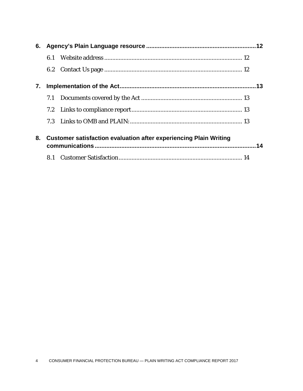| 6. |                                                                          |  |  |
|----|--------------------------------------------------------------------------|--|--|
|    | 6.1                                                                      |  |  |
|    |                                                                          |  |  |
| 7. |                                                                          |  |  |
|    |                                                                          |  |  |
|    |                                                                          |  |  |
|    |                                                                          |  |  |
| 8. | <b>Customer satisfaction evaluation after experiencing Plain Writing</b> |  |  |
|    |                                                                          |  |  |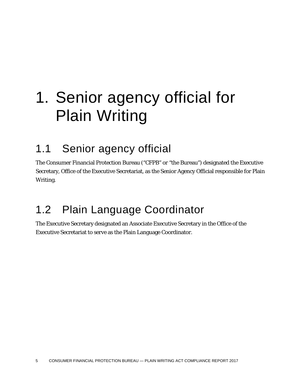## 1. Senior agency official for Plain Writing

#### 1.1 Senior agency official

The Consumer Financial Protection Bureau ("CFPB" or "the Bureau") designated the Executive Secretary, Office of the Executive Secretariat, as the Senior Agency Official responsible for Plain Writing.

#### 1.2 Plain Language Coordinator

The Executive Secretary designated an Associate Executive Secretary in the Office of the Executive Secretariat to serve as the Plain Language Coordinator.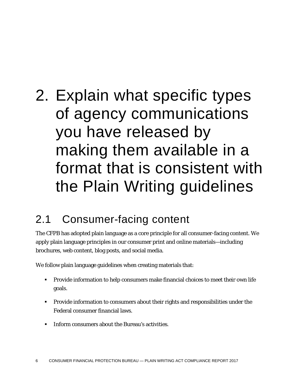## 2. Explain what specific types of agency communications you have released by making them available in a format that is consistent with the Plain Writing guidelines

#### 2.1 Consumer-facing content

The CFPB has adopted plain language as a core principle for all consumer-facing content. We apply plain language principles in our consumer print and online materials—including brochures, web content, blog posts, and social media.

We follow plain language guidelines when creating materials that:

- Provide information to help consumers make financial choices to meet their own life goals.
- Provide information to consumers about their rights and responsibilities under the Federal consumer financial laws.
- **IFFORE 2.5 Inform consumers about the Bureau's activities.**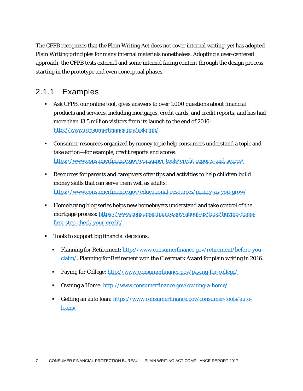The CFPB recognizes that the Plain Writing Act does not cover internal writing, yet has adopted Plain Writing principles for many internal materials nonetheless. Adopting a user-centered approach, the CFPB tests external and some internal facing content through the design process, starting in the prototype and even conceptual phases.

#### 2.1.1 Examples

- Ask CFPB, our online tool, gives answers to over 1,000 questions about financial products and services, including mortgages, credit cards, and credit reports, and has had more than 13.5 million visitors from its launch to the end of 2016: <http://www.consumerfinance.gov/askcfpb/>
- Consumer resources organized by money topic help consumers understand a topic and take action—for example, credit reports and scores: <https://www.consumerfinance.gov/consumer-tools/credit-reports-and-scores/>
- Resources for parents and caregivers offer tips and activities to help children build money skills that can serve them well as adults: <https://www.consumerfinance.gov/educational-resources/money-as-you-grow/>
- Homebuying blog series helps new homebuyers understand and take control of the mortgage process: [https://www.consumerfinance.gov/about-us/blog/buying-home](https://www.consumerfinance.gov/about-us/blog/buying-home-first-step-check-your-credit/)[first-step-check-your-credit/](https://www.consumerfinance.gov/about-us/blog/buying-home-first-step-check-your-credit/)
- Tools to support big financial decisions:
	- **Planning for Retirement:** [http://www.consumerfinance.gov/retirement/before-you](http://www.consumerfinance.gov/retirement/before-you-claim/)[claim/.](http://www.consumerfinance.gov/retirement/before-you-claim/) Planning for Retirement won the Clearmark Award for plain writing in 2016.
	- Paying for College:<http://www.consumerfinance.gov/paying-for-college/>
	- Owning a Home:<http://www.consumerfinance.gov/owning-a-home/>
	- Getting an auto loan: [https://www.consumerfinance.gov/consumer-tools/auto](https://www.consumerfinance.gov/consumer-tools/auto-loans/)[loans/](https://www.consumerfinance.gov/consumer-tools/auto-loans/)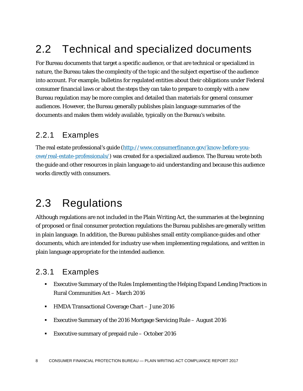### 2.2 Technical and specialized documents

For Bureau documents that target a specific audience, or that are technical or specialized in nature, the Bureau takes the complexity of the topic and the subject expertise of the audience into account. For example, bulletins for regulated entities about their obligations under Federal consumer financial laws or about the steps they can take to prepare to comply with a new Bureau regulation may be more complex and detailed than materials for general consumer audiences. However, the Bureau generally publishes plain language summaries of the documents and makes them widely available, typically on the Bureau's website.

#### 2.2.1 Examples

The real estate professional's guide [\(http://www.consumerfinance.gov/know-before-you](http://www.consumerfinance.gov/know-before-you-owe/real-estate-professionals/)[owe/real-estate-professionals/\)](http://www.consumerfinance.gov/know-before-you-owe/real-estate-professionals/) was created for a specialized audience. The Bureau wrote both the guide and other resources in plain language to aid understanding and because this audience works directly with consumers.

#### 2.3 Regulations

Although regulations are not included in the Plain Writing Act, the summaries at the beginning of proposed or final consumer protection regulations the Bureau publishes are generally written in plain language. In addition, the Bureau publishes small entity compliance guides and other documents, which are intended for industry use when implementing regulations, and written in plain language appropriate for the intended audience.

#### 2.3.1 Examples

- Executive Summary of the Rules Implementing the Helping Expand Lending Practices in Rural Communities Act – March 2016
- HMDA Transactional Coverage Chart June 2016
- Executive Summary of the 2016 Mortgage Servicing Rule August 2016
- Executive summary of prepaid rule October 2016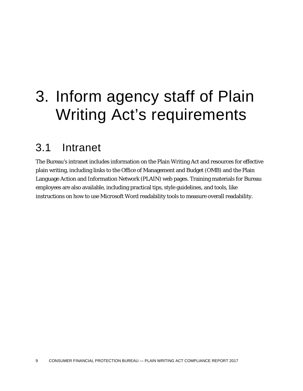### 3. Inform agency staff of Plain Writing Act's requirements

#### 3.1 Intranet

The Bureau's intranet includes information on the Plain Writing Act and resources for effective plain writing, including links to the Office of Management and Budget (OMB) and the Plain Language Action and Information Network (PLAIN) web pages. Training materials for Bureau employees are also available, including practical tips, style guidelines, and tools, like instructions on how to use Microsoft Word readability tools to measure overall readability.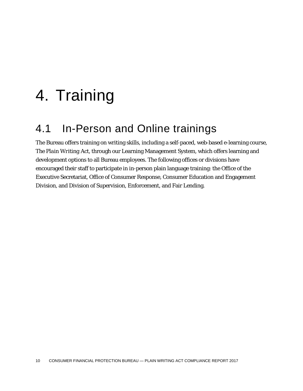### 4. Training

### 4.1 In-Person and Online trainings

The Bureau offers training on writing skills, including a self-paced, web-based e-learning course, *The Plain Writing Act*, through our Learning Management System, which offers learning and development options to all Bureau employees. The following offices or divisions have encouraged their staff to participate in in-person plain language training: the Office of the Executive Secretariat, Office of Consumer Response, Consumer Education and Engagement Division, and Division of Supervision, Enforcement, and Fair Lending.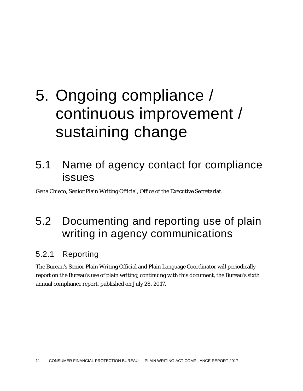## 5. Ongoing compliance / continuous improvement / sustaining change

#### 5.1 Name of agency contact for compliance issues

Gena Chieco, Senior Plain Writing Official, Office of the Executive Secretariat.

### 5.2 Documenting and reporting use of plain writing in agency communications

#### 5.2.1 Reporting

The Bureau's Senior Plain Writing Official and Plain Language Coordinator will periodically report on the Bureau's use of plain writing, continuing with this document, the Bureau's sixth annual compliance report, published on July 28, 2017.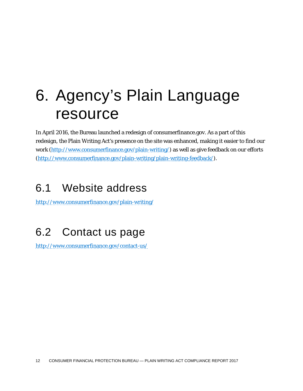### 6. Agency's Plain Language resource

In April 2016, the Bureau launched a redesign of consumerfinance.gov. As a part of this redesign, the Plain Writing Act's presence on the site was enhanced, making it easier to find our work [\(http://www.consumerfinance.gov/plain-writing/\)](http://www.consumerfinance.gov/plain-writing/) as well as give feedback on our efforts [\(http://www.consumerfinance.gov/plain-writing/plain-writing-feedback/\)](http://www.consumerfinance.gov/plain-writing/plain-writing-feedback/).

#### 6.1 Website address

<http://www.consumerfinance.gov/plain-writing/>

### 6.2 Contact us page

<http://www.consumerfinance.gov/contact-us/>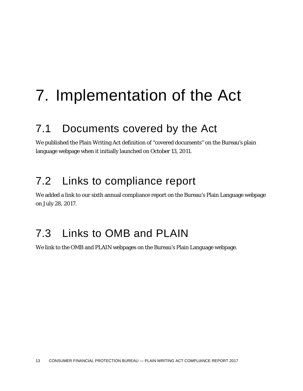## 7. Implementation of the Act

### 7.1 Documents covered by the Act

We published the Plain Writing Act definition of "covered documents" on the Bureau's plain language webpage when it initially launched on October 13, 2011.

### 7.2 Links to compliance report

We added a link to our sixth annual compliance report on the Bureau's Plain Language webpage on July 28, 2017.

#### 7.3 Links to OMB and PLAIN

We link to the OMB and PLAIN webpages on the Bureau's Plain Language webpage.